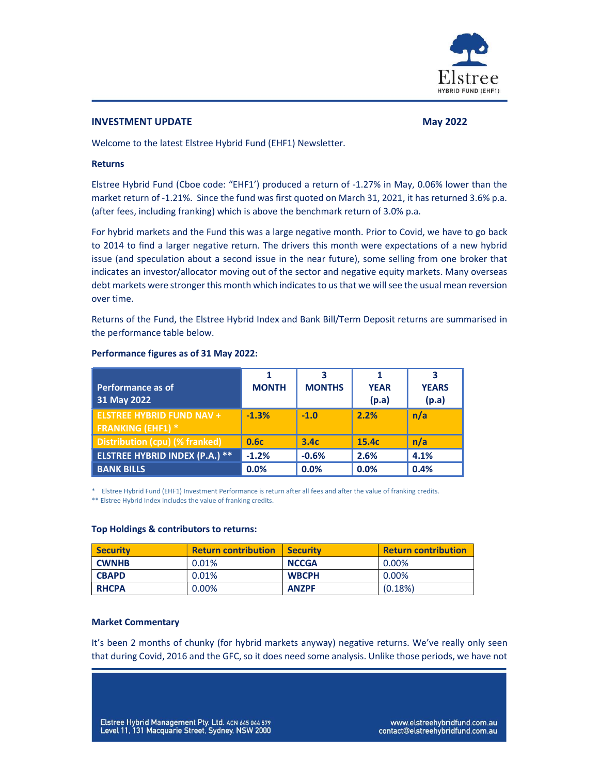

#### INVESTMENT UPDATE NEXT AND THE SERVICE OF THE MAY 2022

Welcome to the latest Elstree Hybrid Fund (EHF1) Newsletter.

#### Returns

Elstree Hybrid Fund (Cboe code: "EHF1') produced a return of -1.27% in May, 0.06% lower than the market return of -1.21%. Since the fund was first quoted on March 31, 2021, it has returned 3.6% p.a. (after fees, including franking) which is above the benchmark return of 3.0% p.a.

For hybrid markets and the Fund this was a large negative month. Prior to Covid, we have to go back to 2014 to find a larger negative return. The drivers this month were expectations of a new hybrid issue (and speculation about a second issue in the near future), some selling from one broker that indicates an investor/allocator moving out of the sector and negative equity markets. Many overseas debt markets were stronger this month which indicates to us that we will see the usual mean reversion over time.

Returns of the Fund, the Elstree Hybrid Index and Bank Bill/Term Deposit returns are summarised in the performance table below.

| Performance as of<br>31 May 2022                             | <b>MONTH</b> | <b>MONTHS</b>    | <b>YEAR</b><br>(p.a) | <b>YEARS</b><br>(p.a) |
|--------------------------------------------------------------|--------------|------------------|----------------------|-----------------------|
| <b>ELSTREE HYBRID FUND NAV +</b><br><b>FRANKING (EHF1) *</b> | $-1.3%$      | $-1.0$           | 2.2%                 | n/a                   |
| Distribution (cpu) (% franked)                               | 0.6c         | 3.4 <sub>c</sub> | 15.4c                | n/a                   |
| <b>ELSTREE HYBRID INDEX (P.A.) **</b>                        | $-1.2%$      | $-0.6%$          | 2.6%                 | 4.1%                  |
| <b>BANK BILLS</b>                                            | 0.0%         | 0.0%             | 0.0%                 | 0.4%                  |

#### Performance figures as of 31 May 2022:

\* Elstree Hybrid Fund (EHF1) Investment Performance is return after all fees and after the value of franking credits.

\*\* Elstree Hybrid Index includes the value of franking credits.

#### Top Holdings & contributors to returns:

| <b>Security</b> | <b>Return contribution</b> | <b>Security</b> | <b>Return contribution</b> |
|-----------------|----------------------------|-----------------|----------------------------|
| <b>CWNHB</b>    | 0.01%                      | <b>NCCGA</b>    | $0.00\%$                   |
| <b>CBAPD</b>    | 0.01%                      | <b>WBCPH</b>    | $0.00\%$                   |
| <b>RHCPA</b>    | 0.00%                      | <b>ANZPF</b>    | (0.18%)                    |

#### Market Commentary

It's been 2 months of chunky (for hybrid markets anyway) negative returns. We've really only seen that during Covid, 2016 and the GFC, so it does need some analysis. Unlike those periods, we have not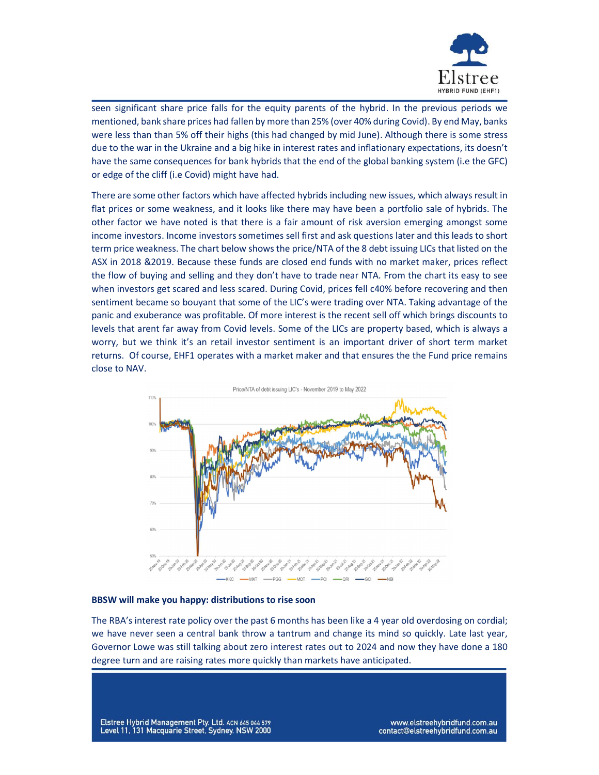

seen significant share price falls for the equity parents of the hybrid. In the previous periods we mentioned, bank share prices had fallen by more than 25% (over 40% during Covid). By end May, banks were less than than 5% off their highs (this had changed by mid June). Although there is some stress due to the war in the Ukraine and a big hike in interest rates and inflationary expectations, its doesn't have the same consequences for bank hybrids that the end of the global banking system (i.e the GFC) or edge of the cliff (i.e Covid) might have had.

There are some other factors which have affected hybrids including new issues, which always result in flat prices or some weakness, and it looks like there may have been a portfolio sale of hybrids. The other factor we have noted is that there is a fair amount of risk aversion emerging amongst some income investors. Income investors sometimes sell first and ask questions later and this leads to short term price weakness. The chart below shows the price/NTA of the 8 debt issuing LICs that listed on the ASX in 2018 &2019. Because these funds are closed end funds with no market maker, prices reflect the flow of buying and selling and they don't have to trade near NTA. From the chart its easy to see when investors get scared and less scared. During Covid, prices fell c40% before recovering and then sentiment became so bouyant that some of the LIC's were trading over NTA. Taking advantage of the panic and exuberance was profitable. Of more interest is the recent sell off which brings discounts to levels that arent far away from Covid levels. Some of the LICs are property based, which is always a worry, but we think it's an retail investor sentiment is an important driver of short term market returns. Of course, EHF1 operates with a market maker and that ensures the the Fund price remains close to NAV.



#### BBSW will make you happy: distributions to rise soon

The RBA's interest rate policy over the past 6 months has been like a 4 year old overdosing on cordial; we have never seen a central bank throw a tantrum and change its mind so quickly. Late last year, Governor Lowe was still talking about zero interest rates out to 2024 and now they have done a 180 degree turn and are raising rates more quickly than markets have anticipated.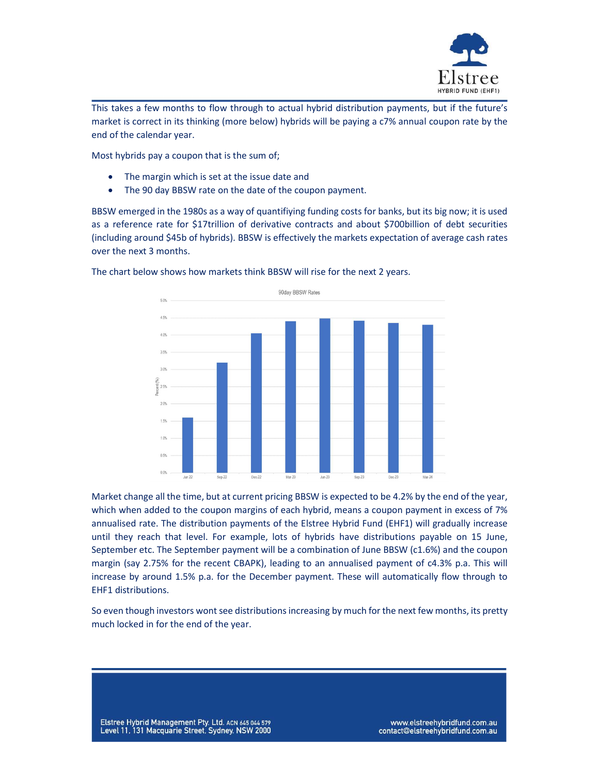

This takes a few months to flow through to actual hybrid distribution payments, but if the future's market is correct in its thinking (more below) hybrids will be paying a c7% annual coupon rate by the end of the calendar year.

Most hybrids pay a coupon that is the sum of;

- The margin which is set at the issue date and
- The 90 day BBSW rate on the date of the coupon payment.

BBSW emerged in the 1980s as a way of quantifiying funding costs for banks, but its big now; it is used as a reference rate for \$17trillion of derivative contracts and about \$700billion of debt securities (including around \$45b of hybrids). BBSW is effectively the markets expectation of average cash rates over the next 3 months.



The chart below shows how markets think BBSW will rise for the next 2 years.

Market change all the time, but at current pricing BBSW is expected to be 4.2% by the end of the year, which when added to the coupon margins of each hybrid, means a coupon payment in excess of 7% annualised rate. The distribution payments of the Elstree Hybrid Fund (EHF1) will gradually increase until they reach that level. For example, lots of hybrids have distributions payable on 15 June, September etc. The September payment will be a combination of June BBSW (c1.6%) and the coupon margin (say 2.75% for the recent CBAPK), leading to an annualised payment of c4.3% p.a. This will increase by around 1.5% p.a. for the December payment. These will automatically flow through to EHF1 distributions.

So even though investors wont see distributions increasing by much for the next few months, its pretty much locked in for the end of the year.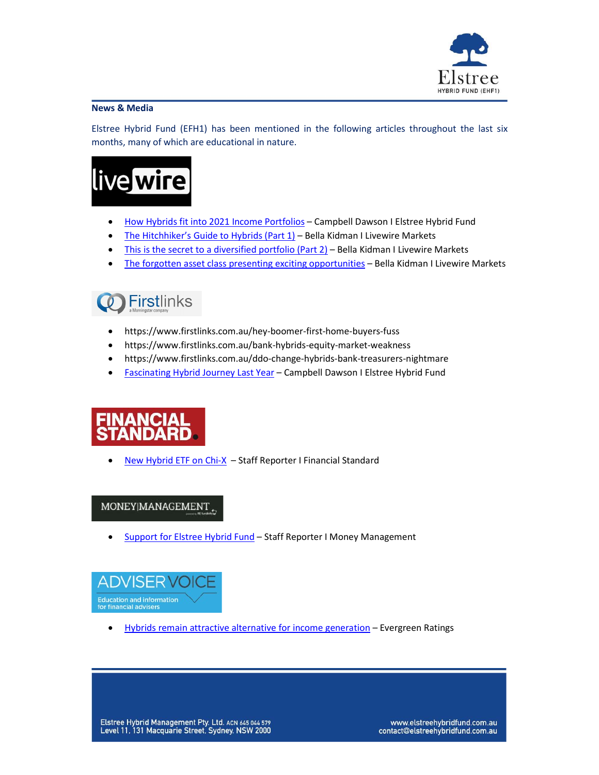

#### News & Media

Elstree Hybrid Fund (EFH1) has been mentioned in the following articles throughout the last six months, many of which are educational in nature.

# live wire

- How Hybrids fit into 2021 Income Portfolios Campbell Dawson I Elstree Hybrid Fund
- The Hitchhiker's Guide to Hybrids (Part 1) Bella Kidman I Livewire Markets
- This is the secret to a diversified portfolio (Part 2) Bella Kidman I Livewire Markets
- The forgotten asset class presenting exciting opportunities Bella Kidman I Livewire Markets



- https://www.firstlinks.com.au/hey-boomer-first-home-buyers-fuss
- https://www.firstlinks.com.au/bank-hybrids-equity-market-weakness
- https://www.firstlinks.com.au/ddo-change-hybrids-bank-treasurers-nightmare
- Fascinating Hybrid Journey Last Year Campbell Dawson I Elstree Hybrid Fund

## NDARD

New Hybrid ETF on Chi-X – Staff Reporter I Financial Standard

### MONEY|MANAGEMENT

Support for Elstree Hybrid Fund – Staff Reporter I Money Management



• Hybrids remain attractive alternative for income generation - Evergreen Ratings

Elstree Hybrid Management Pty. Ltd. ACN 645 044 579 Level 11, 131 Macquarie Street, Sydney. NSW 2000

www.elstreehybridfund.com.au contact@elstreehybridfund.com.au